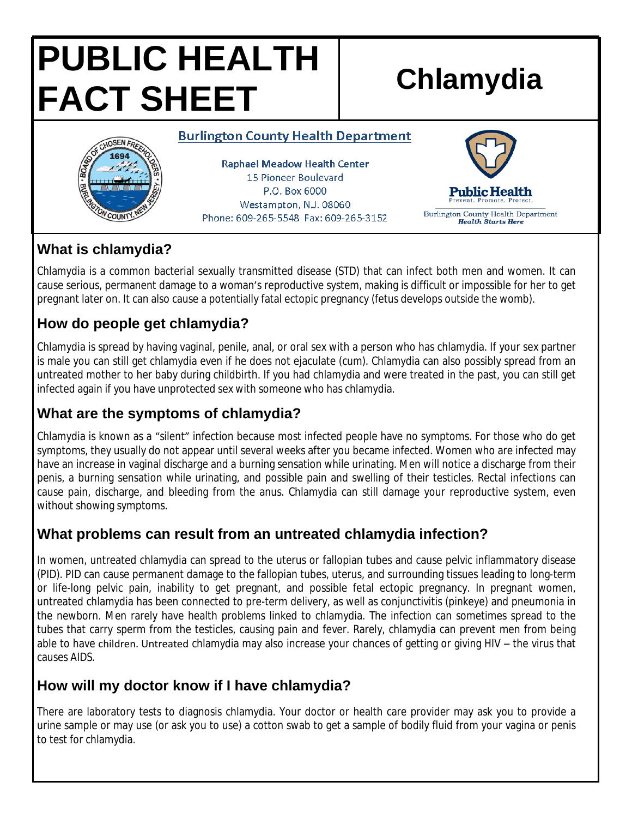# **PUBLIC HEALTH FACT SHEET Chlamydia**

#### **Burlington County Health Department**



**Raphael Meadow Health Center** 15 Pioneer Boulevard P.O. Box 6000 Westampton, N.J. 08060 Phone: 609-265-5548 Fax: 609-265-3152



### **What is chlamydia?**

Chlamydia is a common bacterial sexually transmitted disease (STD) that can infect both men and women. It can cause serious, permanent damage to a woman's reproductive system, making is difficult or impossible for her to get pregnant later on. It can also cause a potentially fatal ectopic pregnancy (fetus develops outside the womb).

# **How do people get chlamydia?**

Chlamydia is spread by having vaginal, penile, anal, or oral sex with a person who has chlamydia. If your sex partner is male you can still get chlamydia even if he does not ejaculate (cum). Chlamydia can also possibly spread from an untreated mother to her baby during childbirth. If you had chlamydia and were treated in the past, you can still get infected again if you have unprotected sex with someone who has chlamydia.

# **What are the symptoms of chlamydia?**

Chlamydia is known as a "silent" infection because most infected people have no symptoms. For those who do get symptoms, they usually do not appear until several weeks after you became infected. Women who are infected may have an increase in vaginal discharge and a burning sensation while urinating. Men will notice a discharge from their penis, a burning sensation while urinating, and possible pain and swelling of their testicles. Rectal infections can cause pain, discharge, and bleeding from the anus. Chlamydia can still damage your reproductive system, even without showing symptoms.

# **What problems can result from an untreated chlamydia infection?**

In women, untreated chlamydia can spread to the uterus or fallopian tubes and cause pelvic inflammatory disease (PID). PID can cause permanent damage to the fallopian tubes, uterus, and surrounding tissues leading to long-term or life-long pelvic pain, inability to get pregnant, and possible fetal ectopic pregnancy. In pregnant women, untreated chlamydia has been connected to pre-term delivery, as well as conjunctivitis (pinkeye) and pneumonia in the newborn. Men rarely have health problems linked to chlamydia. The infection can sometimes spread to the tubes that carry sperm from the testicles, causing pain and fever. Rarely, chlamydia can prevent men from being able to have children. Untreated chlamydia may also increase your chances of getting or giving HIV – the virus that causes AIDS.

# **How will my doctor know if I have chlamydia?**

There are laboratory tests to diagnosis chlamydia. Your doctor or health care provider may ask you to provide a urine sample or may use (or ask you to use) a cotton swab to get a sample of bodily fluid from your vagina or penis to test for chlamydia.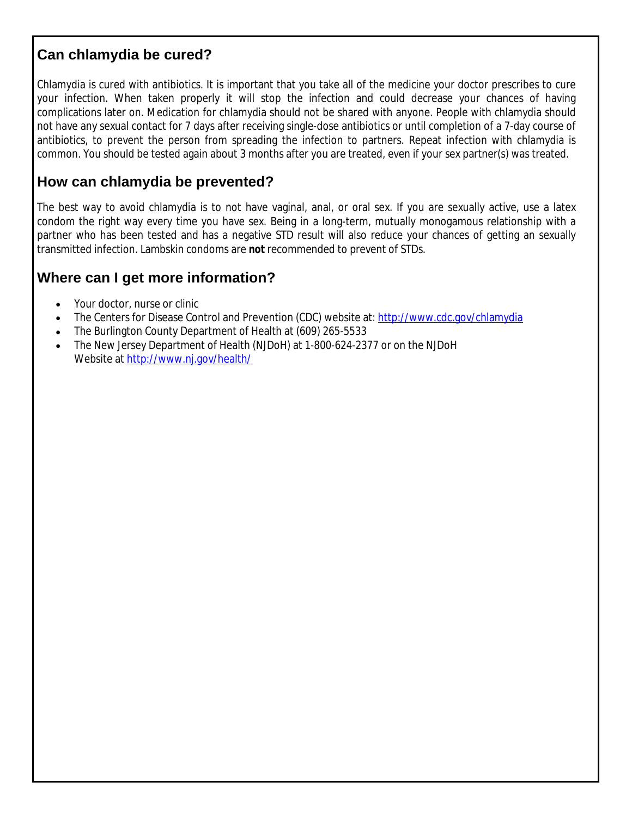#### **Can chlamydia be cured?**

Chlamydia is cured with antibiotics. It is important that you take all of the medicine your doctor prescribes to cure your infection. When taken properly it will stop the infection and could decrease your chances of having complications later on. Medication for chlamydia should not be shared with anyone. People with chlamydia should not have any sexual contact for 7 days after receiving single-dose antibiotics or until completion of a 7-day course of antibiotics, to prevent the person from spreading the infection to partners. Repeat infection with chlamydia is common. You should be tested again about 3 months after you are treated, even if your sex partner(s) was treated.

#### **How can chlamydia be prevented?**

The best way to avoid chlamydia is to not have vaginal, anal, or oral sex. If you are sexually active, use a latex condom the right way every time you have sex. Being in a long-term, mutually monogamous relationship with a partner who has been tested and has a negative STD result will also reduce your chances of getting an sexually transmitted infection. Lambskin condoms are *not* recommended to prevent of STDs.

#### **Where can I get more information?**

- Your doctor, nurse or clinic
- The Centers for Disease Control and Prevention (CDC) website at:<http://www.cdc.gov/chlamydia>
- The Burlington County Department of Health at (609) 265-5533
- The New Jersey Department of Health (NJDoH) at 1-800-624-2377 or on the NJDoH Website at <http://www.nj.gov/health/>